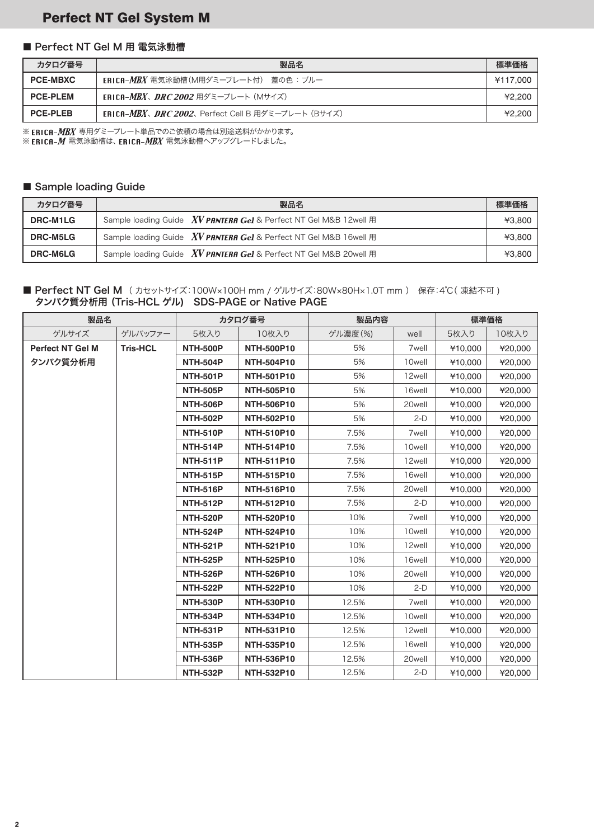### Perfect NT Gel System M

#### ■ Perfect NT Gel M 用 電気泳動槽

| カタログ番号          | 製品名                                                     | 標準価格     |
|-----------------|---------------------------------------------------------|----------|
| <b>PCE-MBXC</b> | ERICA-MBX 電気泳動槽(M用ダミープレート付) 蓋の色 : ブルー                   | ¥117.000 |
| <b>PCE-PLEM</b> | <b>ERICA-<i>MBX、DRC 2002</i> 用ダミープレート(Mサイズ)</b>         | ¥2.200   |
| <b>PCE-PLEB</b> | <b>ERICA-MBX、DRC 2002、Perfect Cell B 用ダミープレート(Bサイズ)</b> | ¥2.200   |

※ ERICA-MBX 専用ダミープレート単品でのご依頼の場合は別途送料がかかります。

※ ERICA-M 電気泳動槽は、ERICA-MBX 電気泳動槽へアップグレードしました。

#### ■ Sample loading Guide

| カタログ番号          | 製品名                                                                              | 標準価格   |
|-----------------|----------------------------------------------------------------------------------|--------|
| DRC-M1LG        | Sample loading Guide $\frac{XV}{W}$ PANTERA Gel & Perfect NT Gel M&B 12well $\#$ | ¥3.800 |
| <b>DRC-M5LG</b> | Sample loading Guide <b>XV PANTERA Gel</b> & Perfect NT Gel M&B 16well 用         | ¥3.800 |
| <b>DRC-M6LG</b> | Sample loading Guide $XV$ PANTERA Gel & Perfect NT Gel M&B 20well $\#$           | ¥3.800 |

#### ■ Perfect NT Gel M (カセットサイズ:100W×100H mm / ゲルサイズ:80W×80H×1.0T mm) 保存:4℃(凍結不可) タンパク質分析用(Tris-HCL ゲル) SDS-PAGE or Native PAGE

| 製品名                     |                 | カタログ番号          |                   | 製品内容    |                   | 標準価格              |         |        |         |         |
|-------------------------|-----------------|-----------------|-------------------|---------|-------------------|-------------------|---------|--------|---------|---------|
| ゲルサイズ                   | ゲルバッファー         | 5枚入り            | 10枚入り             | ゲル濃度(%) | well              | 5枚入り              | 10枚入り   |        |         |         |
| <b>Perfect NT Gel M</b> | <b>Tris-HCL</b> | <b>NTH-500P</b> | <b>NTH-500P10</b> | 5%      | 7well             | ¥10.000           | ¥20,000 |        |         |         |
| タンパク質分析用                |                 | <b>NTH-504P</b> | <b>NTH-504P10</b> | 5%      | 10well            | ¥10,000           | ¥20,000 |        |         |         |
|                         |                 | <b>NTH-501P</b> | <b>NTH-501P10</b> | 5%      | 12well            | ¥10,000           | ¥20,000 |        |         |         |
|                         |                 | <b>NTH-505P</b> | <b>NTH-505P10</b> | 5%      | 16well            | ¥10,000           | ¥20,000 |        |         |         |
|                         |                 | <b>NTH-506P</b> | <b>NTH-506P10</b> | 5%      | 20well            | ¥10,000           | ¥20,000 |        |         |         |
|                         |                 | <b>NTH-502P</b> | NTH-502P10        | 5%      | $2-D$             | ¥10,000           | ¥20,000 |        |         |         |
|                         |                 | <b>NTH-510P</b> | <b>NTH-510P10</b> | 7.5%    | 7well             | ¥10,000           | ¥20,000 |        |         |         |
|                         |                 | <b>NTH-514P</b> | <b>NTH-514P10</b> | 7.5%    | 10well            | ¥10,000           | ¥20,000 |        |         |         |
|                         |                 | <b>NTH-511P</b> | <b>NTH-511P10</b> | 7.5%    | 12well            | ¥10,000           | ¥20,000 |        |         |         |
|                         |                 | <b>NTH-515P</b> | <b>NTH-515P10</b> | 7.5%    | 16well            | ¥10,000           | ¥20,000 |        |         |         |
|                         |                 | <b>NTH-516P</b> | <b>NTH-516P10</b> | 7.5%    | 20well            | ¥10,000           | ¥20,000 |        |         |         |
|                         |                 | <b>NTH-512P</b> | <b>NTH-512P10</b> | 7.5%    | $2-D$             | ¥10,000           | ¥20,000 |        |         |         |
|                         |                 | <b>NTH-520P</b> | NTH-520P10        | 10%     | 7well             | ¥10,000           | ¥20,000 |        |         |         |
|                         |                 | <b>NTH-524P</b> | <b>NTH-524P10</b> | 10%     | 10well            | ¥10,000           | ¥20,000 |        |         |         |
|                         |                 | <b>NTH-521P</b> | <b>NTH-521P10</b> | 10%     | 12well            | ¥10,000           | ¥20,000 |        |         |         |
|                         |                 |                 |                   |         | <b>NTH-525P</b>   | <b>NTH-525P10</b> | 10%     | 16well | ¥10,000 | ¥20,000 |
|                         |                 | <b>NTH-526P</b> | <b>NTH-526P10</b> | 10%     | 20well            | ¥10,000           | ¥20,000 |        |         |         |
|                         |                 | <b>NTH-522P</b> | <b>NTH-522P10</b> | 10%     | $2-D$             | ¥10,000           | ¥20,000 |        |         |         |
|                         |                 | <b>NTH-530P</b> | <b>NTH-530P10</b> | 12.5%   | 7 <sub>well</sub> | ¥10,000           | ¥20,000 |        |         |         |
|                         |                 | <b>NTH-534P</b> | <b>NTH-534P10</b> | 12.5%   | 10well            | ¥10,000           | ¥20,000 |        |         |         |
|                         |                 | <b>NTH-531P</b> | <b>NTH-531P10</b> | 12.5%   | 12well            | ¥10,000           | ¥20,000 |        |         |         |
|                         |                 | <b>NTH-535P</b> | <b>NTH-535P10</b> | 12.5%   | 16well            | ¥10,000           | ¥20,000 |        |         |         |
|                         |                 | <b>NTH-536P</b> | <b>NTH-536P10</b> | 12.5%   | 20well            | ¥10,000           | ¥20,000 |        |         |         |
|                         |                 | <b>NTH-532P</b> | NTH-532P10        | 12.5%   | $2-D$             | ¥10,000           | ¥20,000 |        |         |         |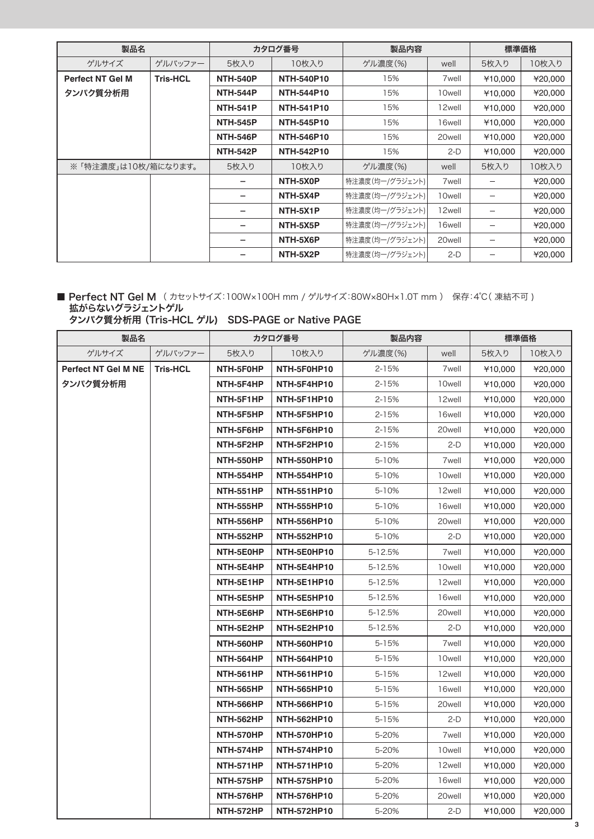| 製品名                     |                 | カタログ番号          |                   | 製品内容            |                    | 標準価格    |         |
|-------------------------|-----------------|-----------------|-------------------|-----------------|--------------------|---------|---------|
| ゲルサイズ                   | ゲルバッファー         | 5枚入り            | 10枚入り             | ゲル濃度(%)         | well               | 5枚入り    | 10枚入り   |
| <b>Perfect NT Gel M</b> | <b>Tris-HCL</b> | <b>NTH-540P</b> | <b>NTH-540P10</b> | 15%             | 7 <sub>well</sub>  | ¥10,000 | ¥20,000 |
| タンパク質分析用                |                 | <b>NTH-544P</b> | <b>NTH-544P10</b> | 15%             | 10well             | ¥10.000 | ¥20,000 |
|                         |                 | <b>NTH-541P</b> | <b>NTH-541P10</b> | 15%             | 12well             | ¥10,000 | ¥20,000 |
|                         |                 | <b>NTH-545P</b> | <b>NTH-545P10</b> | 15%             | 16well             | ¥10,000 | ¥20,000 |
|                         |                 | <b>NTH-546P</b> | <b>NTH-546P10</b> | 15%             | 20well             | ¥10,000 | ¥20,000 |
|                         |                 | <b>NTH-542P</b> | <b>NTH-542P10</b> | 15%             | $2-D$              | ¥10,000 | ¥20,000 |
| ※ 「特注濃度」は10枚/箱になります。    |                 | 5枚入り            | 10枚入り             | ゲル濃度(%)         | well               | 5枚入り    | 10枚入り   |
|                         |                 |                 | NTH-5X0P          | 特注濃度(均一/グラジェント) | 7well              |         | ¥20,000 |
|                         |                 |                 | NTH-5X4P          | 特注濃度(均一/グラジェント) | 10well             |         | ¥20,000 |
|                         |                 |                 | NTH-5X1P          | 特注濃度(均一/グラジェント) | 12well             |         | ¥20,000 |
|                         |                 |                 | NTH-5X5P          | 特注濃度(均一/グラジェント) | 16well             |         | ¥20,000 |
|                         |                 |                 | NTH-5X6P          | 特注濃度(均一/グラジェント) | 20 <sub>well</sub> |         | ¥20,000 |
|                         |                 |                 | NTH-5X2P          | 特注濃度(均一/グラジェント) | $2-D$              |         | ¥20,000 |

#### ■ Perfect NT Gel M (カセットサイズ:100W×100H mm / ゲルサイズ:80W×80H×1.0T mm) 保存:4℃(凍結不可) 拡がらないグラジェントゲル

#### タンパク質分析用 (Tris-HCL ゲル) SDS-PAGE or Native PAGE

| 製品名                 |                 | カタログ番号           |                    | 製品内容      |                   | 標準価格    |         |
|---------------------|-----------------|------------------|--------------------|-----------|-------------------|---------|---------|
| ゲルサイズ               | ゲルバッファー         | 5枚入り             | 10枚入り              | ゲル濃度(%)   | well              | 5枚入り    | 10枚入り   |
| Perfect NT Gel M NE | <b>Tris-HCL</b> | NTH-5F0HP        | NTH-5F0HP10        | $2 - 15%$ | 7 <sub>well</sub> | ¥10,000 | ¥20,000 |
| タンパク質分析用            |                 | NTH-5F4HP        | NTH-5F4HP10        | 2-15%     | 10well            | ¥10,000 | ¥20,000 |
|                     |                 | NTH-5F1HP        | NTH-5F1HP10        | 2-15%     | 12well            | ¥10,000 | ¥20,000 |
|                     |                 | NTH-5F5HP        | NTH-5F5HP10        | 2-15%     | 16well            | ¥10,000 | ¥20,000 |
|                     |                 | NTH-5F6HP        | NTH-5F6HP10        | 2-15%     | 20well            | ¥10,000 | ¥20,000 |
|                     |                 | NTH-5F2HP        | NTH-5F2HP10        | 2-15%     | $2-D$             | ¥10,000 | ¥20,000 |
|                     |                 | NTH-550HP        | <b>NTH-550HP10</b> | 5-10%     | 7well             | ¥10,000 | 420,000 |
|                     |                 | <b>NTH-554HP</b> | <b>NTH-554HP10</b> | 5-10%     | 10well            | ¥10,000 | ¥20,000 |
|                     |                 | <b>NTH-551HP</b> | <b>NTH-551HP10</b> | 5-10%     | 12well            | ¥10,000 | ¥20,000 |
|                     |                 | <b>NTH-555HP</b> | <b>NTH-555HP10</b> | 5-10%     | 16well            | ¥10,000 | ¥20,000 |
|                     |                 | <b>NTH-556HP</b> | <b>NTH-556HP10</b> | 5-10%     | 20well            | ¥10,000 | ¥20,000 |
|                     |                 | <b>NTH-552HP</b> | <b>NTH-552HP10</b> | 5-10%     | $2-D$             | ¥10,000 | ¥20,000 |
|                     |                 | NTH-5E0HP        | NTH-5E0HP10        | 5-12.5%   | 7well             | ¥10,000 | ¥20,000 |
|                     |                 | NTH-5E4HP        | NTH-5E4HP10        | 5-12.5%   | 10well            | ¥10,000 | ¥20,000 |
|                     |                 | NTH-5E1HP        | NTH-5E1HP10        | 5-12.5%   | 12well            | ¥10,000 | ¥20,000 |
|                     |                 | NTH-5E5HP        | NTH-5E5HP10        | 5-12.5%   | 16well            | ¥10,000 | ¥20,000 |
|                     |                 | NTH-5E6HP        | NTH-5E6HP10        | 5-12.5%   | 20well            | ¥10,000 | ¥20,000 |
|                     |                 | NTH-5E2HP        | NTH-5E2HP10        | 5-12.5%   | 2-D               | ¥10,000 | ¥20,000 |
|                     |                 | NTH-560HP        | <b>NTH-560HP10</b> | 5-15%     | 7 <sub>well</sub> | ¥10,000 | 420,000 |
|                     |                 | <b>NTH-564HP</b> | <b>NTH-564HP10</b> | 5-15%     | 10well            | ¥10,000 | ¥20,000 |
|                     |                 | <b>NTH-561HP</b> | <b>NTH-561HP10</b> | 5-15%     | 12well            | ¥10,000 | ¥20,000 |
|                     |                 | <b>NTH-565HP</b> | <b>NTH-565HP10</b> | 5-15%     | 16well            | ¥10,000 | ¥20,000 |
|                     |                 | <b>NTH-566HP</b> | <b>NTH-566HP10</b> | 5-15%     | 20well            | ¥10,000 | ¥20,000 |
|                     |                 | <b>NTH-562HP</b> | <b>NTH-562HP10</b> | 5-15%     | $2-D$             | ¥10,000 | 420,000 |
|                     |                 | NTH-570HP        | <b>NTH-570HP10</b> | 5-20%     | 7 <sub>well</sub> | ¥10,000 | ¥20,000 |
|                     |                 | NTH-574HP        | <b>NTH-574HP10</b> | 5-20%     | 10well            | ¥10,000 | ¥20,000 |
|                     |                 | <b>NTH-571HP</b> | <b>NTH-571HP10</b> | 5-20%     | 12well            | ¥10,000 | ¥20,000 |
|                     |                 | NTH-575HP        | <b>NTH-575HP10</b> | 5-20%     | 16well            | ¥10,000 | ¥20,000 |
|                     |                 | <b>NTH-576HP</b> | <b>NTH-576HP10</b> | 5-20%     | 20well            | ¥10,000 | ¥20,000 |
|                     |                 | <b>NTH-572HP</b> | <b>NTH-572HP10</b> | 5-20%     | $2-D$             | ¥10,000 | ¥20,000 |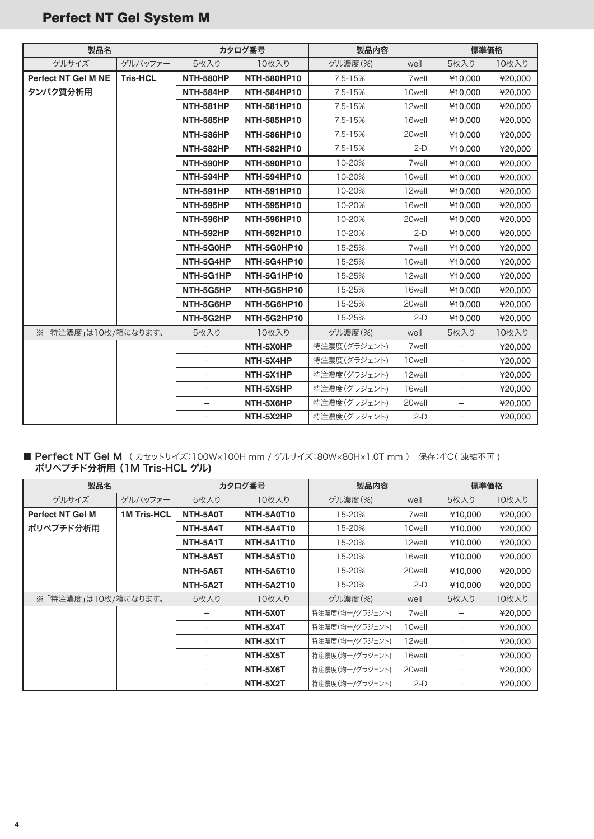| 製品名                        |                 | カタログ番号           |                    | 製品内容         |                   | 標準価格                     |         |
|----------------------------|-----------------|------------------|--------------------|--------------|-------------------|--------------------------|---------|
| ゲルサイズ                      | ゲルバッファー         | 5枚入り             | 10枚入り              | ゲル濃度(%)      | well              | 5枚入り                     | 10枚入り   |
| <b>Perfect NT Gel M NE</b> | <b>Tris-HCL</b> | NTH-580HP        | <b>NTH-580HP10</b> | 7.5-15%      | 7well             | ¥10.000                  | ¥20,000 |
| タンパク質分析用                   |                 | NTH-584HP        | <b>NTH-584HP10</b> | 7.5-15%      | 10well            | ¥10,000                  | ¥20,000 |
|                            |                 | NTH-581HP        | <b>NTH-581HP10</b> | 7.5-15%      | 12well            | ¥10,000                  | ¥20,000 |
|                            |                 | NTH-585HP        | <b>NTH-585HP10</b> | 7.5-15%      | 16well            | ¥10,000                  | ¥20,000 |
|                            |                 | <b>NTH-586HP</b> | <b>NTH-586HP10</b> | $7.5 - 15%$  | 20well            | ¥10,000                  | ¥20,000 |
|                            |                 | <b>NTH-582HP</b> | <b>NTH-582HP10</b> | 7.5-15%      | $2-D$             | ¥10,000                  | ¥20,000 |
|                            |                 | NTH-590HP        | <b>NTH-590HP10</b> | 10-20%       | 7well             | ¥10,000                  | ¥20,000 |
|                            |                 | NTH-594HP        | <b>NTH-594HP10</b> | 10-20%       | 10well            | ¥10,000                  | ¥20,000 |
|                            |                 | NTH-591HP        | <b>NTH-591HP10</b> | 10-20%       | 12well            | ¥10,000                  | ¥20,000 |
|                            |                 | NTH-595HP        | <b>NTH-595HP10</b> | 10-20%       | 16well            | ¥10,000                  | ¥20,000 |
|                            |                 | NTH-596HP        | <b>NTH-596HP10</b> | 10-20%       | 20well            | ¥10,000                  | ¥20,000 |
|                            |                 | NTH-592HP        | <b>NTH-592HP10</b> | 10-20%       | $2-D$             | ¥10.000                  | ¥20,000 |
|                            |                 | NTH-5G0HP        | NTH-5G0HP10        | 15-25%       | 7 <sub>well</sub> | ¥10.000                  | ¥20,000 |
|                            |                 | NTH-5G4HP        | NTH-5G4HP10        | 15-25%       | 10well            | ¥10,000                  | ¥20,000 |
|                            |                 | NTH-5G1HP        | NTH-5G1HP10        | 15-25%       | 12well            | ¥10.000                  | ¥20,000 |
|                            |                 | NTH-5G5HP        | NTH-5G5HP10        | 15-25%       | 16well            | ¥10.000                  | ¥20,000 |
|                            |                 | NTH-5G6HP        | NTH-5G6HP10        | 15-25%       | 20well            | ¥10.000                  | ¥20,000 |
|                            |                 | NTH-5G2HP        | NTH-5G2HP10        | 15-25%       | $2-D$             | ¥10,000                  | ¥20,000 |
| ※「特注濃度」は10枚/箱になります。        |                 | 5枚入り             | 10枚入り              | ゲル濃度(%)      | well              | 5枚入り                     | 10枚入り   |
|                            |                 |                  | NTH-5X0HP          | 特注濃度(グラジェント) | 7 <sub>well</sub> | $\overline{\phantom{0}}$ | ¥20,000 |
|                            |                 |                  | NTH-5X4HP          | 特注濃度(グラジェント) | 10well            | $\qquad \qquad -$        | ¥20,000 |
|                            |                 |                  | NTH-5X1HP          | 特注濃度(グラジェント) | 12well            |                          | ¥20,000 |
|                            |                 |                  | NTH-5X5HP          | 特注濃度(グラジェント) | 16well            | $\equiv$                 | ¥20,000 |
|                            |                 |                  | NTH-5X6HP          | 特注濃度(グラジェント) | 20well            | $\qquad \qquad -$        | ¥20,000 |
|                            |                 |                  | NTH-5X2HP          | 特注濃度(グラジェント) | $2-D$             |                          | ¥20,000 |

# Perfect NT Gel System M

#### ■ Perfect NT Gel M (カセットサイズ:100W×100H mm / ゲルサイズ:80W×80H×1.0T mm ) 保存:4℃( 凍結不可 ) ポリペプチド分析用 (1M Tris-HCL ゲル)

| 製品名                     |                    | カタログ番号   |                   | 製品内容            |                   | 標準価格    |         |
|-------------------------|--------------------|----------|-------------------|-----------------|-------------------|---------|---------|
| ゲルサイズ                   | ゲルバッファー            | 5枚入り     | 10枚入り             | ゲル濃度(%)         | well              | 5枚入り    | 10枚入り   |
| <b>Perfect NT Gel M</b> | <b>1M Tris-HCL</b> | NTH-5A0T | NTH-5A0T10        | 15-20%          | 7well             | ¥10,000 | ¥20,000 |
| ポリペプチド分析用               |                    | NTH-5A4T | <b>NTH-5A4T10</b> | 15-20%          | 10well            | ¥10,000 | ¥20,000 |
|                         |                    | NTH-5A1T | <b>NTH-5A1T10</b> | 15-20%          | 12well            | ¥10,000 | ¥20,000 |
|                         |                    | NTH-5A5T | <b>NTH-5A5T10</b> | 15-20%          | 16well            | ¥10,000 | ¥20,000 |
|                         |                    | NTH-5A6T | <b>NTH-5A6T10</b> | 15-20%          | 20well            | ¥10,000 | ¥20,000 |
|                         |                    | NTH-5A2T | <b>NTH-5A2T10</b> | 15-20%          | $2-D$             | ¥10,000 | ¥20,000 |
| ※ 「特注濃度」は10枚/箱になります。    |                    | 5枚入り     | 10枚入り             | ゲル濃度(%)         | well              | 5枚入り    | 10枚入り   |
|                         |                    |          | NTH-5X0T          | 特注濃度(均一/グラジェント) | 7 <sub>well</sub> |         | ¥20,000 |
|                         |                    |          | NTH-5X4T          | 特注濃度(均一/グラジェント) | 10well            |         | ¥20,000 |
|                         |                    |          | NTH-5X1T          | 特注濃度(均一/グラジェント) | 12well            |         | ¥20,000 |
|                         |                    |          | NTH-5X5T          | 特注濃度(均一/グラジェント) | 16well            |         | ¥20,000 |
|                         |                    |          | NTH-5X6T          | 特注濃度(均一/グラジェント) | 20well            |         | ¥20,000 |
|                         |                    |          | NTH-5X2T          | 特注濃度(均一/グラジェント) | $2-D$             |         | ¥20,000 |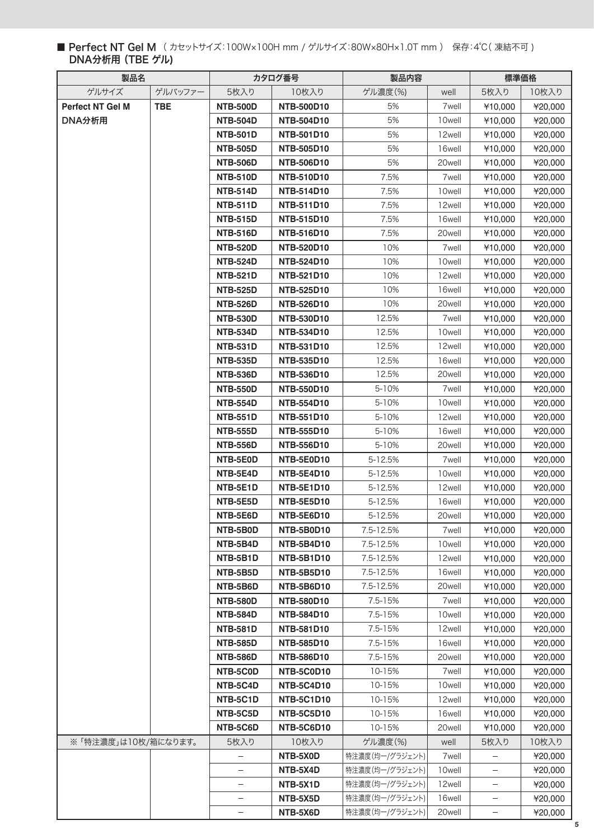### ■ Perfect NT Gel M (カセットサイズ:100W×100H mm / ゲルサイズ:80W×80H×1.0T mm) 保存:4℃(凍結不可) DNA分析用 (TBE ゲル)

| 製品名                  |            | カタログ番号                      |                                 | 製品内容               |                             | 標準価格               |                    |
|----------------------|------------|-----------------------------|---------------------------------|--------------------|-----------------------------|--------------------|--------------------|
| ゲルサイズ                | ゲルバッファー    | 5枚入り                        | 10枚入り                           | ゲル濃度(%)            | well                        | 5枚入り               | 10枚入り              |
| Perfect NT Gel M     | <b>TBE</b> | <b>NTB-500D</b>             | <b>NTB-500D10</b>               | 5%                 | 7 <sub>well</sub>           | ¥10,000            | ¥20,000            |
| DNA分析用               |            | <b>NTB-504D</b>             | <b>NTB-504D10</b>               | 5%                 | 10well                      | ¥10,000            | ¥20,000            |
|                      |            | <b>NTB-501D</b>             | <b>NTB-501D10</b>               | 5%                 | 12well                      | ¥10,000            | ¥20,000            |
|                      |            | <b>NTB-505D</b>             | <b>NTB-505D10</b>               | 5%                 | 16well                      | ¥10,000            | ¥20,000            |
|                      |            | <b>NTB-506D</b>             | <b>NTB-506D10</b>               | 5%                 | 20well                      | ¥10,000            | ¥20,000            |
|                      |            | <b>NTB-510D</b>             | <b>NTB-510D10</b>               | 7.5%               | 7well                       | ¥10.000            | ¥20,000            |
|                      |            | <b>NTB-514D</b>             | <b>NTB-514D10</b>               | 7.5%               | 10well                      | ¥10,000            | ¥20,000            |
|                      |            | <b>NTB-511D</b>             | <b>NTB-511D10</b>               | 7.5%               | 12well                      | ¥10,000            | ¥20,000            |
|                      |            | <b>NTB-515D</b>             | <b>NTB-515D10</b>               | 7.5%               | 16well                      | ¥10,000            | ¥20,000            |
|                      |            | <b>NTB-516D</b>             | <b>NTB-516D10</b>               | 7.5%               | 20well                      | ¥10,000            | ¥20,000            |
|                      |            | <b>NTB-520D</b>             | <b>NTB-520D10</b>               | 10%                | 7 <sub>well</sub>           | ¥10,000            | ¥20,000            |
|                      |            | <b>NTB-524D</b>             | <b>NTB-524D10</b>               | 10%                | 10well                      | ¥10,000            | ¥20,000            |
|                      |            | <b>NTB-521D</b>             | <b>NTB-521D10</b>               | 10%                | 12well                      | ¥10,000            | ¥20,000            |
|                      |            | <b>NTB-525D</b>             | <b>NTB-525D10</b>               | 10%                | 16well                      | ¥10,000            | ¥20,000            |
|                      |            | <b>NTB-526D</b>             | <b>NTB-526D10</b>               | 10%                | 20well                      | ¥10,000            | ¥20,000            |
|                      |            | <b>NTB-530D</b>             | <b>NTB-530D10</b>               | 12.5%              | 7 <sub>well</sub>           | ¥10,000            | ¥20,000            |
|                      |            | <b>NTB-534D</b>             | <b>NTB-534D10</b>               | 12.5%              | 10well                      | ¥10,000            | ¥20,000            |
|                      |            | <b>NTB-531D</b>             | <b>NTB-531D10</b>               | 12.5%              | 12well                      | ¥10,000            | ¥20,000            |
|                      |            | <b>NTB-535D</b>             | <b>NTB-535D10</b>               | 12.5%              | 16well                      | ¥10,000            | ¥20,000            |
|                      |            | <b>NTB-536D</b>             | <b>NTB-536D10</b>               | 12.5%              | 20well                      | ¥10,000            | ¥20,000            |
|                      |            | <b>NTB-550D</b>             | <b>NTB-550D10</b>               | 5-10%              | 7well                       | ¥10,000            | ¥20,000            |
|                      |            | <b>NTB-554D</b>             | <b>NTB-554D10</b>               | 5-10%              | 10well                      | ¥10,000            | ¥20,000            |
|                      |            | <b>NTB-551D</b>             | <b>NTB-551D10</b>               | 5-10%              | 12well                      | ¥10,000            | ¥20,000            |
|                      |            | <b>NTB-555D</b>             | <b>NTB-555D10</b>               | 5-10%              | 16well                      | ¥10,000            | ¥20,000            |
|                      |            | <b>NTB-556D</b>             | <b>NTB-556D10</b>               | 5-10%              | 20well                      | ¥10,000            | ¥20,000            |
|                      |            | NTB-5E0D                    | NTB-5E0D10                      | 5-12.5%            | 7 <sub>well</sub>           | ¥10,000            | ¥20,000            |
|                      |            | NTB-5E4D                    | <b>NTB-5E4D10</b>               | 5-12.5%            | 10well                      | ¥10,000            | ¥20,000            |
|                      |            | NTB-5E1D                    | <b>NTB-5E1D10</b>               | 5-12.5%            | 12well                      | ¥10,000            | ¥20,000            |
|                      |            | NTB-5E5D                    | <b>NTB-5E5D10</b>               | 5-12.5%            | 16well                      | ¥10,000            | ¥20,000            |
|                      |            | NTB-5E6D                    | NTB-5E6D10                      | 5-12.5%            | 20well                      | ¥10,000            | ¥20,000            |
|                      |            | NTB-5B0D                    | NTB-5B0D10                      | 7.5-12.5%          | 7 <sub>well</sub>           | ¥10,000            | ¥20,000            |
|                      |            | NTB-5B4D                    | <b>NTB-5B4D10</b>               | 7.5-12.5%          | 10well                      | ¥10,000            | ¥20,000            |
|                      |            | NTB-5B1D<br>NTB-5B5D        | <b>NTB-5B1D10</b>               | 7.5-12.5%          | 12well                      | ¥10,000            | ¥20,000            |
|                      |            |                             | <b>NTB-5B5D10</b>               | 7.5-12.5%          | 16well<br>20well            | ¥10,000<br>¥10,000 | ¥20,000<br>¥20,000 |
|                      |            | NTB-5B6D<br><b>NTB-580D</b> | NTB-5B6D10<br><b>NTB-580D10</b> | 7.5-12.5%          |                             | ¥10,000            |                    |
|                      |            | <b>NTB-584D</b>             | NTB-584D10                      | 7.5-15%<br>7.5-15% | 7 <sub>well</sub><br>10well | ¥10,000            | ¥20,000<br>¥20,000 |
|                      |            | <b>NTB-581D</b>             | <b>NTB-581D10</b>               | 7.5-15%            | 12well                      | ¥10,000            | ¥20,000            |
|                      |            | <b>NTB-585D</b>             | <b>NTB-585D10</b>               | 7.5-15%            | 16well                      | ¥10,000            | ¥20,000            |
|                      |            | <b>NTB-586D</b>             | <b>NTB-586D10</b>               | 7.5-15%            | 20well                      | ¥10,000            | ¥20,000            |
|                      |            | NTB-5C0D                    | NTB-5C0D10                      | 10-15%             | 7 <sub>well</sub>           | ¥10,000            | ¥20,000            |
|                      |            | NTB-5C4D                    | <b>NTB-5C4D10</b>               | 10-15%             | 10well                      | ¥10,000            | ¥20,000            |
|                      |            | NTB-5C1D                    | <b>NTB-5C1D10</b>               | 10-15%             | 12well                      | ¥10,000            | ¥20,000            |
|                      |            | NTB-5C5D                    | <b>NTB-5C5D10</b>               | 10-15%             | 16well                      | ¥10,000            | ¥20,000            |
|                      |            | NTB-5C6D                    | NTB-5C6D10                      | 10-15%             | 20well                      | ¥10,000            | ¥20,000            |
| ※ 「特注濃度」は10枚/箱になります。 |            | 5枚入り                        | 10枚入り                           | ゲル濃度(%)            | well                        | 5枚入り               | 10枚入り              |
|                      |            |                             | NTB-5X0D                        | 特注濃度(均一/グラジェント)    | 7 <sub>well</sub>           |                    | ¥20,000            |
|                      |            |                             | NTB-5X4D                        | 特注濃度(均一/グラジェント)    | 10well                      |                    | ¥20,000            |
|                      |            |                             | NTB-5X1D                        | 特注濃度(均一/グラジェント)    | 12well                      | -                  | ¥20,000            |
|                      |            |                             | NTB-5X5D                        | 特注濃度(均一/グラジェント)    | 16well                      |                    | ¥20,000            |
|                      |            |                             | NTB-5X6D                        | 特注濃度(均一/グラジェント)    | 20well                      | $\qquad \qquad -$  | ¥20,000            |